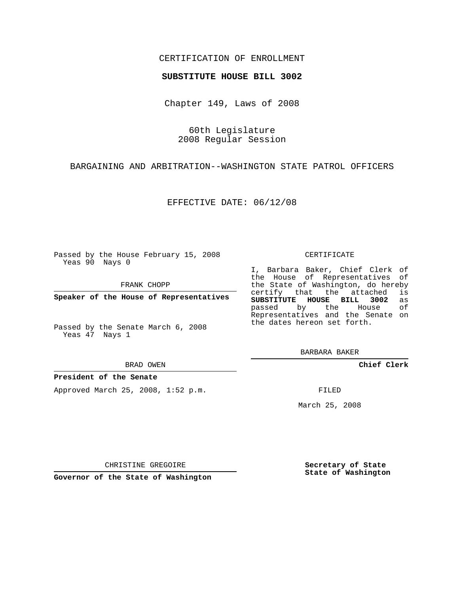# CERTIFICATION OF ENROLLMENT

## **SUBSTITUTE HOUSE BILL 3002**

Chapter 149, Laws of 2008

60th Legislature 2008 Regular Session

BARGAINING AND ARBITRATION--WASHINGTON STATE PATROL OFFICERS

EFFECTIVE DATE: 06/12/08

Passed by the House February 15, 2008 Yeas 90 Nays 0

FRANK CHOPP

**Speaker of the House of Representatives**

Passed by the Senate March 6, 2008 Yeas 47 Nays 1

#### BRAD OWEN

### **President of the Senate**

Approved March 25, 2008, 1:52 p.m.

#### CERTIFICATE

I, Barbara Baker, Chief Clerk of the House of Representatives of the State of Washington, do hereby<br>certify that the attached is certify that the attached **SUBSTITUTE HOUSE BILL 3002** as passed by the House Representatives and the Senate on the dates hereon set forth.

BARBARA BAKER

**Chief Clerk**

FILED

March 25, 2008

CHRISTINE GREGOIRE

**Governor of the State of Washington**

**Secretary of State State of Washington**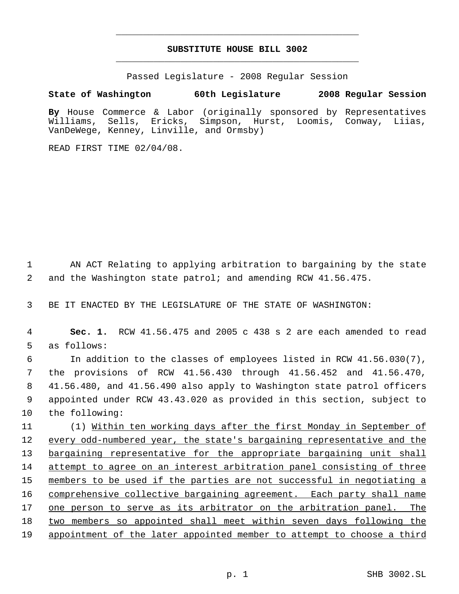# **SUBSTITUTE HOUSE BILL 3002** \_\_\_\_\_\_\_\_\_\_\_\_\_\_\_\_\_\_\_\_\_\_\_\_\_\_\_\_\_\_\_\_\_\_\_\_\_\_\_\_\_\_\_\_\_

\_\_\_\_\_\_\_\_\_\_\_\_\_\_\_\_\_\_\_\_\_\_\_\_\_\_\_\_\_\_\_\_\_\_\_\_\_\_\_\_\_\_\_\_\_

Passed Legislature - 2008 Regular Session

**State of Washington 60th Legislature 2008 Regular Session By** House Commerce & Labor (originally sponsored by Representatives Williams, Sells, Ericks, Simpson, Hurst, Loomis, Conway, Liias, VanDeWege, Kenney, Linville, and Ormsby)

READ FIRST TIME 02/04/08.

 1 AN ACT Relating to applying arbitration to bargaining by the state 2 and the Washington state patrol; and amending RCW 41.56.475.

3 BE IT ENACTED BY THE LEGISLATURE OF THE STATE OF WASHINGTON:

 4 **Sec. 1.** RCW 41.56.475 and 2005 c 438 s 2 are each amended to read 5 as follows:

 In addition to the classes of employees listed in RCW 41.56.030(7), the provisions of RCW 41.56.430 through 41.56.452 and 41.56.470, 41.56.480, and 41.56.490 also apply to Washington state patrol officers appointed under RCW 43.43.020 as provided in this section, subject to the following:

11 (1) Within ten working days after the first Monday in September of 12 every odd-numbered year, the state's bargaining representative and the 13 bargaining representative for the appropriate bargaining unit shall 14 attempt to agree on an interest arbitration panel consisting of three 15 members to be used if the parties are not successful in negotiating a 16 comprehensive collective bargaining agreement. Each party shall name 17 one person to serve as its arbitrator on the arbitration panel. The 18 two members so appointed shall meet within seven days following the 19 appointment of the later appointed member to attempt to choose a third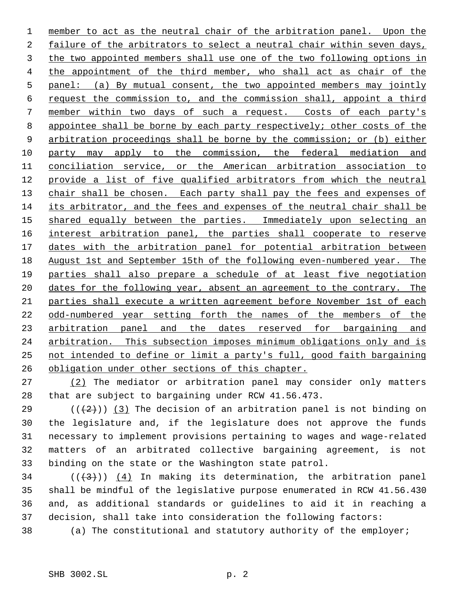member to act as the neutral chair of the arbitration panel. Upon the failure of the arbitrators to select a neutral chair within seven days, the two appointed members shall use one of the two following options in the appointment of the third member, who shall act as chair of the panel: (a) By mutual consent, the two appointed members may jointly request the commission to, and the commission shall, appoint a third member within two days of such a request. Costs of each party's 8 appointee shall be borne by each party respectively; other costs of the 9 arbitration proceedings shall be borne by the commission; or (b) either party may apply to the commission, the federal mediation and conciliation service, or the American arbitration association to 12 provide a list of five qualified arbitrators from which the neutral 13 chair shall be chosen. Each party shall pay the fees and expenses of its arbitrator, and the fees and expenses of the neutral chair shall be 15 shared equally between the parties. Immediately upon selecting an 16 interest arbitration panel, the parties shall cooperate to reserve dates with the arbitration panel for potential arbitration between August 1st and September 15th of the following even-numbered year. The parties shall also prepare a schedule of at least five negotiation 20 dates for the following year, absent an agreement to the contrary. The parties shall execute a written agreement before November 1st of each odd-numbered year setting forth the names of the members of the 23 arbitration panel and the dates reserved for bargaining and arbitration. This subsection imposes minimum obligations only and is not intended to define or limit a party's full, good faith bargaining obligation under other sections of this chapter.

 (2) The mediator or arbitration panel may consider only matters that are subject to bargaining under RCW 41.56.473.

29 ( $(\frac{2}{2})$ ) (3) The decision of an arbitration panel is not binding on the legislature and, if the legislature does not approve the funds necessary to implement provisions pertaining to wages and wage-related matters of an arbitrated collective bargaining agreement, is not binding on the state or the Washington state patrol.

 $((+3))$   $(4)$  In making its determination, the arbitration panel shall be mindful of the legislative purpose enumerated in RCW 41.56.430 and, as additional standards or guidelines to aid it in reaching a decision, shall take into consideration the following factors:

(a) The constitutional and statutory authority of the employer;